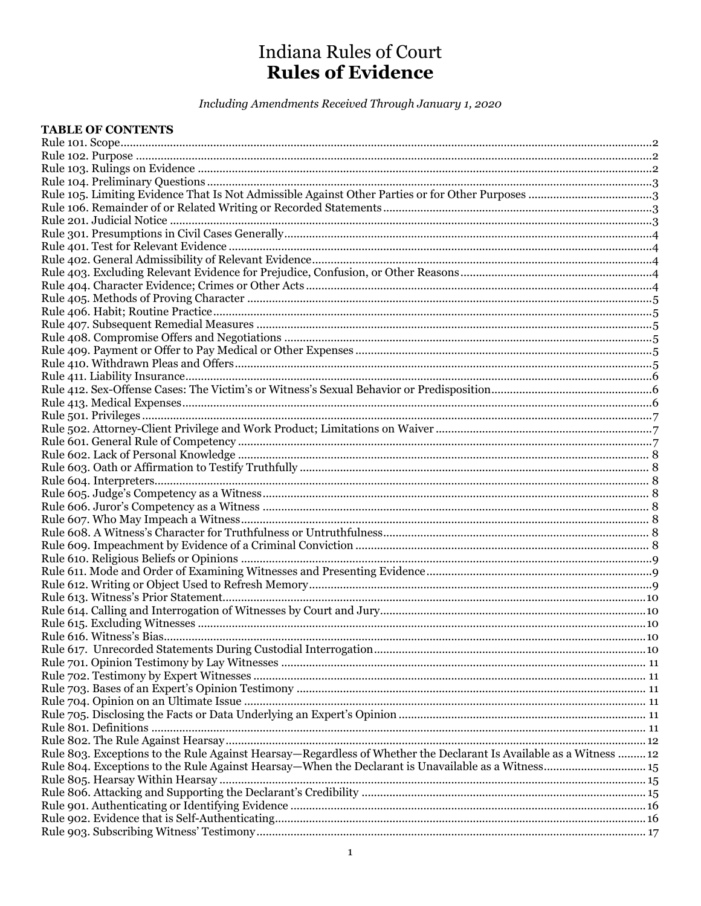# Indiana Rules of Court **Rules of Evidence**

Including Amendments Received Through January 1, 2020

| <b>TABLE OF CONTENTS</b>                                                                                           |  |
|--------------------------------------------------------------------------------------------------------------------|--|
|                                                                                                                    |  |
|                                                                                                                    |  |
|                                                                                                                    |  |
|                                                                                                                    |  |
|                                                                                                                    |  |
|                                                                                                                    |  |
|                                                                                                                    |  |
|                                                                                                                    |  |
|                                                                                                                    |  |
|                                                                                                                    |  |
|                                                                                                                    |  |
|                                                                                                                    |  |
|                                                                                                                    |  |
|                                                                                                                    |  |
|                                                                                                                    |  |
|                                                                                                                    |  |
|                                                                                                                    |  |
|                                                                                                                    |  |
|                                                                                                                    |  |
|                                                                                                                    |  |
|                                                                                                                    |  |
|                                                                                                                    |  |
|                                                                                                                    |  |
|                                                                                                                    |  |
|                                                                                                                    |  |
|                                                                                                                    |  |
|                                                                                                                    |  |
|                                                                                                                    |  |
|                                                                                                                    |  |
|                                                                                                                    |  |
|                                                                                                                    |  |
|                                                                                                                    |  |
|                                                                                                                    |  |
|                                                                                                                    |  |
|                                                                                                                    |  |
|                                                                                                                    |  |
|                                                                                                                    |  |
|                                                                                                                    |  |
|                                                                                                                    |  |
|                                                                                                                    |  |
|                                                                                                                    |  |
|                                                                                                                    |  |
|                                                                                                                    |  |
|                                                                                                                    |  |
|                                                                                                                    |  |
|                                                                                                                    |  |
|                                                                                                                    |  |
|                                                                                                                    |  |
|                                                                                                                    |  |
| Rule 803. Exceptions to the Rule Against Hearsay–Regardless of Whether the Declarant Is Available as a Witness  12 |  |
|                                                                                                                    |  |
|                                                                                                                    |  |
|                                                                                                                    |  |
|                                                                                                                    |  |
|                                                                                                                    |  |
|                                                                                                                    |  |
|                                                                                                                    |  |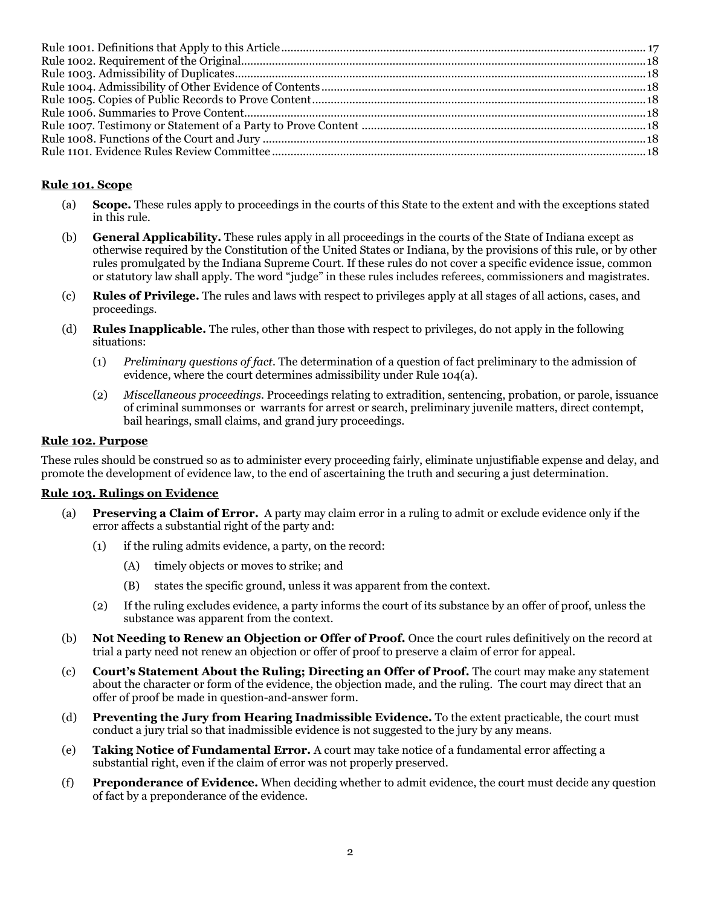## <span id="page-1-0"></span>**Rule 101. Scope**

- (a) **Scope.** These rules apply to proceedings in the courts of this State to the extent and with the exceptions stated in this rule.
- (b) **General Applicability.** These rules apply in all proceedings in the courts of the State of Indiana except as otherwise required by the Constitution of the United States or Indiana, by the provisions of this rule, or by other rules promulgated by the Indiana Supreme Court. If these rules do not cover a specific evidence issue, common or statutory law shall apply. The word "judge" in these rules includes referees, commissioners and magistrates.
- (c) **Rules of Privilege.** The rules and laws with respect to privileges apply at all stages of all actions, cases, and proceedings.
- (d) **Rules Inapplicable.** The rules, other than those with respect to privileges, do not apply in the following situations:
	- (1) *Preliminary questions of fact.* The determination of a question of fact preliminary to the admission of evidence, where the court determines admissibility under Rule 104(a).
	- (2) *Miscellaneous proceedings.* Proceedings relating to extradition, sentencing, probation, or parole, issuance of criminal summonses or warrants for arrest or search, preliminary juvenile matters, direct contempt, bail hearings, small claims, and grand jury proceedings.

#### <span id="page-1-1"></span>**Rule 102. Purpose**

These rules should be construed so as to administer every proceeding fairly, eliminate unjustifiable expense and delay, and promote the development of evidence law, to the end of ascertaining the truth and securing a just determination.

#### <span id="page-1-2"></span>**Rule 103. Rulings on Evidence**

- (a) **Preserving a Claim of Error.** A party may claim error in a ruling to admit or exclude evidence only if the error affects a substantial right of the party and:
	- (1) if the ruling admits evidence, a party, on the record:
		- (A) timely objects or moves to strike; and
		- (B) states the specific ground, unless it was apparent from the context.
	- (2) If the ruling excludes evidence, a party informs the court of its substance by an offer of proof, unless the substance was apparent from the context.
- (b) **Not Needing to Renew an Objection or Offer of Proof.** Once the court rules definitively on the record at trial a party need not renew an objection or offer of proof to preserve a claim of error for appeal.
- (c) **Court's Statement About the Ruling; Directing an Offer of Proof.** The court may make any statement about the character or form of the evidence, the objection made, and the ruling. The court may direct that an offer of proof be made in question-and-answer form.
- (d) **Preventing the Jury from Hearing Inadmissible Evidence.** To the extent practicable, the court must conduct a jury trial so that inadmissible evidence is not suggested to the jury by any means.
- (e) **Taking Notice of Fundamental Error.** A court may take notice of a fundamental error affecting a substantial right, even if the claim of error was not properly preserved.
- (f) **Preponderance of Evidence.** When deciding whether to admit evidence, the court must decide any question of fact by a preponderance of the evidence.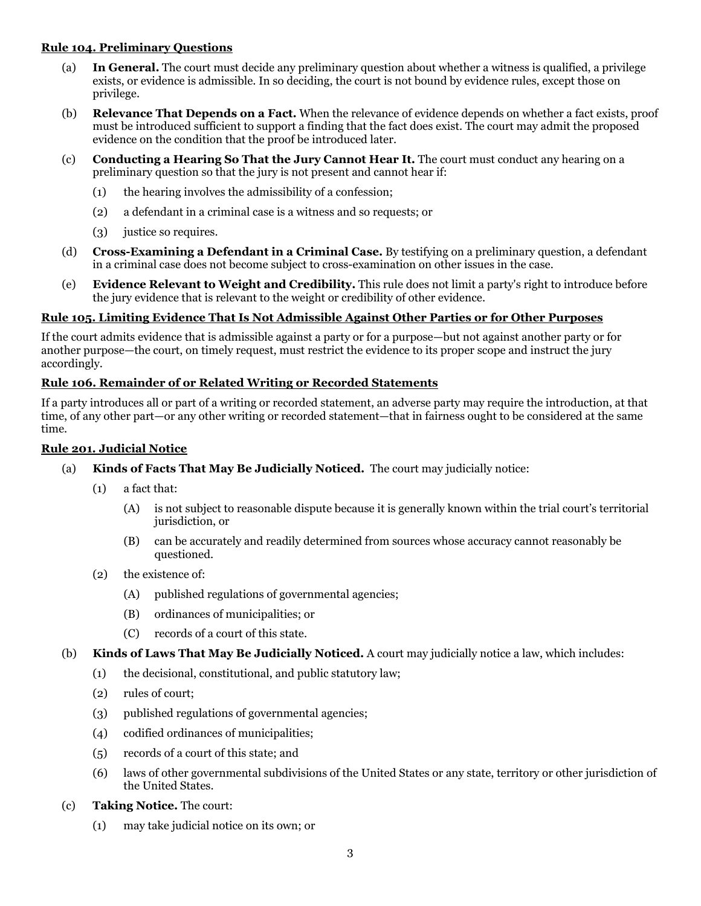# <span id="page-2-0"></span>**Rule 104. Preliminary Questions**

- (a) **In General.** The court must decide any preliminary question about whether a witness is qualified, a privilege exists, or evidence is admissible. In so deciding, the court is not bound by evidence rules, except those on privilege.
- (b) **Relevance That Depends on a Fact.** When the relevance of evidence depends on whether a fact exists, proof must be introduced sufficient to support a finding that the fact does exist. The court may admit the proposed evidence on the condition that the proof be introduced later.
- (c) **Conducting a Hearing So That the Jury Cannot Hear It.** The court must conduct any hearing on a preliminary question so that the jury is not present and cannot hear if:
	- (1) the hearing involves the admissibility of a confession;
	- (2) a defendant in a criminal case is a witness and so requests; or
	- (3) justice so requires.
- (d) **Cross-Examining a Defendant in a Criminal Case.** By testifying on a preliminary question, a defendant in a criminal case does not become subject to cross-examination on other issues in the case.
- (e) **Evidence Relevant to Weight and Credibility.** This rule does not limit a party's right to introduce before the jury evidence that is relevant to the weight or credibility of other evidence.

## <span id="page-2-1"></span>**Rule 105. Limiting Evidence That Is Not Admissible Against Other Parties or for Other Purposes**

If the court admits evidence that is admissible against a party or for a purpose—but not against another party or for another purpose—the court, on timely request, must restrict the evidence to its proper scope and instruct the jury accordingly.

# <span id="page-2-2"></span>**Rule 106. Remainder of or Related Writing or Recorded Statements**

If a party introduces all or part of a writing or recorded statement, an adverse party may require the introduction, at that time, of any other part—or any other writing or recorded statement—that in fairness ought to be considered at the same time.

## <span id="page-2-3"></span>**Rule 201. Judicial Notice**

- (a) **Kinds of Facts That May Be Judicially Noticed.** The court may judicially notice:
	- (1) a fact that:
		- (A) is not subject to reasonable dispute because it is generally known within the trial court's territorial jurisdiction, or
		- (B) can be accurately and readily determined from sources whose accuracy cannot reasonably be questioned.
	- (2) the existence of:
		- (A) published regulations of governmental agencies;
		- (B) ordinances of municipalities; or
		- (C) records of a court of this state.
- (b) **Kinds of Laws That May Be Judicially Noticed.** A court may judicially notice a law, which includes:
	- (1) the decisional, constitutional, and public statutory law;
	- (2) rules of court;
	- (3) published regulations of governmental agencies;
	- (4) codified ordinances of municipalities;
	- (5) records of a court of this state; and
	- (6) laws of other governmental subdivisions of the United States or any state, territory or other jurisdiction of the United States.
- (c) **Taking Notice.** The court:
	- (1) may take judicial notice on its own; or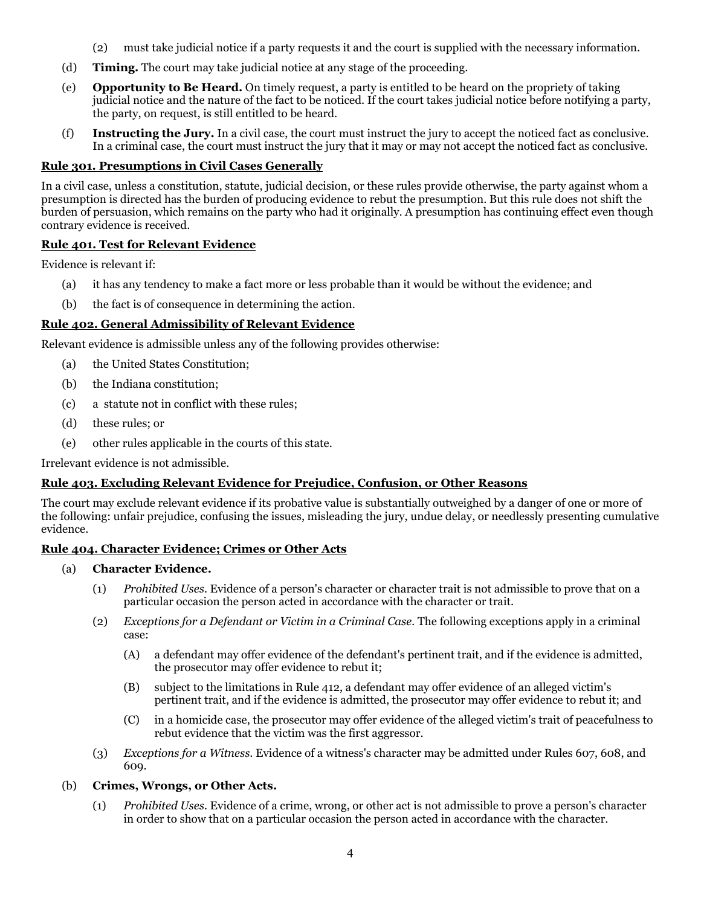- (2) must take judicial notice if a party requests it and the court is supplied with the necessary information.
- (d) **Timing.** The court may take judicial notice at any stage of the proceeding.
- (e) **Opportunity to Be Heard.** On timely request, a party is entitled to be heard on the propriety of taking judicial notice and the nature of the fact to be noticed. If the court takes judicial notice before notifying a party, the party, on request, is still entitled to be heard.
- (f) **Instructing the Jury.** In a civil case, the court must instruct the jury to accept the noticed fact as conclusive. In a criminal case, the court must instruct the jury that it may or may not accept the noticed fact as conclusive.

#### <span id="page-3-0"></span>**Rule 301. Presumptions in Civil Cases Generally**

In a civil case, unless a constitution, statute, judicial decision, or these rules provide otherwise, the party against whom a presumption is directed has the burden of producing evidence to rebut the presumption. But this rule does not shift the burden of persuasion, which remains on the party who had it originally. A presumption has continuing effect even though contrary evidence is received.

#### <span id="page-3-1"></span>**Rule 401. Test for Relevant Evidence**

Evidence is relevant if:

- (a) it has any tendency to make a fact more or less probable than it would be without the evidence; and
- (b) the fact is of consequence in determining the action.

## <span id="page-3-2"></span>**Rule 402. General Admissibility of Relevant Evidence**

Relevant evidence is admissible unless any of the following provides otherwise:

- (a) the United States Constitution;
- (b) the Indiana constitution;
- (c) a statute not in conflict with these rules;
- (d) these rules; or
- (e) other rules applicable in the courts of this state.

Irrelevant evidence is not admissible.

#### <span id="page-3-3"></span>**Rule 403. Excluding Relevant Evidence for Prejudice, Confusion, or Other Reasons**

The court may exclude relevant evidence if its probative value is substantially outweighed by a danger of one or more of the following: unfair prejudice, confusing the issues, misleading the jury, undue delay, or needlessly presenting cumulative evidence.

# <span id="page-3-4"></span>**Rule 404. Character Evidence; Crimes or Other Acts**

#### (a) **Character Evidence.**

- (1) *Prohibited Uses.* Evidence of a person's character or character trait is not admissible to prove that on a particular occasion the person acted in accordance with the character or trait.
- (2) *Exceptions for a Defendant or Victim in a Criminal Case.* The following exceptions apply in a criminal case:
	- (A) a defendant may offer evidence of the defendant's pertinent trait, and if the evidence is admitted, the prosecutor may offer evidence to rebut it;
	- (B) subject to the limitations in Rule 412, a defendant may offer evidence of an alleged victim's pertinent trait, and if the evidence is admitted, the prosecutor may offer evidence to rebut it; and
	- (C) in a homicide case, the prosecutor may offer evidence of the alleged victim's trait of peacefulness to rebut evidence that the victim was the first aggressor.
- (3) *Exceptions for a Witness*. Evidence of a witness's character may be admitted under Rules 607, 608, and 609.

#### (b) **Crimes, Wrongs, or Other Acts.**

(1) *Prohibited Uses.* Evidence of a crime, wrong, or other act is not admissible to prove a person's character in order to show that on a particular occasion the person acted in accordance with the character.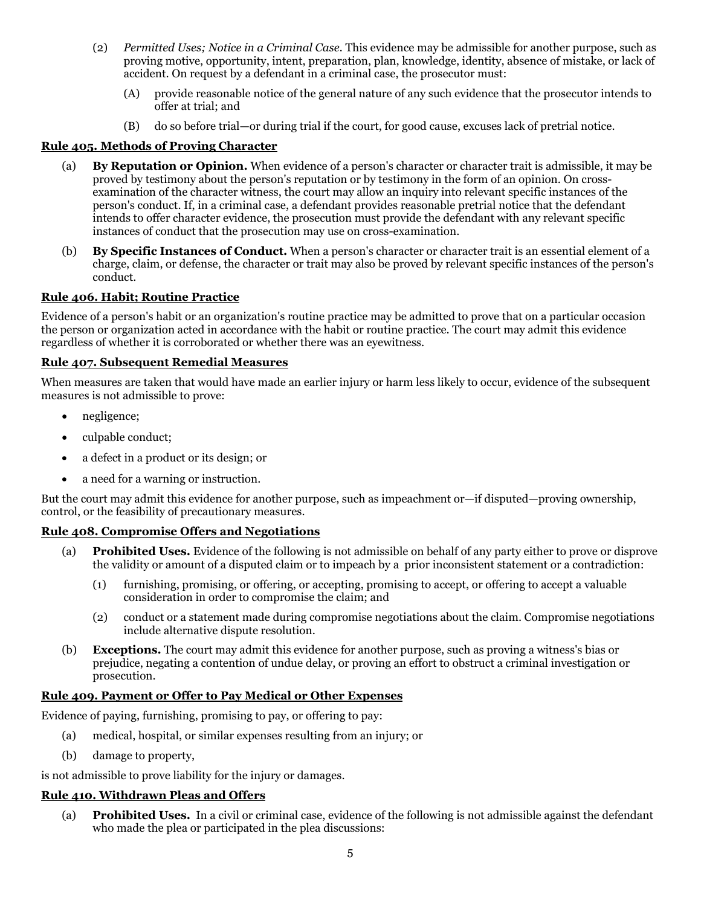- (2) *Permitted Uses; Notice in a Criminal Case.* This evidence may be admissible for another purpose, such as proving motive, opportunity, intent, preparation, plan, knowledge, identity, absence of mistake, or lack of accident. On request by a defendant in a criminal case, the prosecutor must:
	- (A) provide reasonable notice of the general nature of any such evidence that the prosecutor intends to offer at trial; and
	- (B) do so before trial—or during trial if the court, for good cause, excuses lack of pretrial notice.

#### <span id="page-4-0"></span>**Rule 405. Methods of Proving Character**

- (a) **By Reputation or Opinion.** When evidence of a person's character or character trait is admissible, it may be proved by testimony about the person's reputation or by testimony in the form of an opinion. On crossexamination of the character witness, the court may allow an inquiry into relevant specific instances of the person's conduct. If, in a criminal case, a defendant provides reasonable pretrial notice that the defendant intends to offer character evidence, the prosecution must provide the defendant with any relevant specific instances of conduct that the prosecution may use on cross-examination.
- (b) **By Specific Instances of Conduct.** When a person's character or character trait is an essential element of a charge, claim, or defense, the character or trait may also be proved by relevant specific instances of the person's conduct.

#### <span id="page-4-1"></span>**Rule 406. Habit; Routine Practice**

Evidence of a person's habit or an organization's routine practice may be admitted to prove that on a particular occasion the person or organization acted in accordance with the habit or routine practice. The court may admit this evidence regardless of whether it is corroborated or whether there was an eyewitness.

#### <span id="page-4-2"></span>**Rule 407. Subsequent Remedial Measures**

When measures are taken that would have made an earlier injury or harm less likely to occur, evidence of the subsequent measures is not admissible to prove:

- negligence;
- culpable conduct;
- a defect in a product or its design; or
- a need for a warning or instruction.

But the court may admit this evidence for another purpose, such as impeachment or—if disputed—proving ownership, control, or the feasibility of precautionary measures.

## <span id="page-4-3"></span>**Rule 408. Compromise Offers and Negotiations**

- (a) **Prohibited Uses.** Evidence of the following is not admissible on behalf of any party either to prove or disprove the validity or amount of a disputed claim or to impeach by a prior inconsistent statement or a contradiction:
	- (1) furnishing, promising, or offering, or accepting, promising to accept, or offering to accept a valuable consideration in order to compromise the claim; and
	- (2) conduct or a statement made during compromise negotiations about the claim. Compromise negotiations include alternative dispute resolution.
- (b) **Exceptions.** The court may admit this evidence for another purpose, such as proving a witness's bias or prejudice, negating a contention of undue delay, or proving an effort to obstruct a criminal investigation or prosecution.

#### <span id="page-4-4"></span>**Rule 409. Payment or Offer to Pay Medical or Other Expenses**

Evidence of paying, furnishing, promising to pay, or offering to pay:

- (a) medical, hospital, or similar expenses resulting from an injury; or
- (b) damage to property,

is not admissible to prove liability for the injury or damages.

#### <span id="page-4-5"></span>**Rule 410. Withdrawn Pleas and Offers**

(a) **Prohibited Uses.** In a civil or criminal case, evidence of the following is not admissible against the defendant who made the plea or participated in the plea discussions: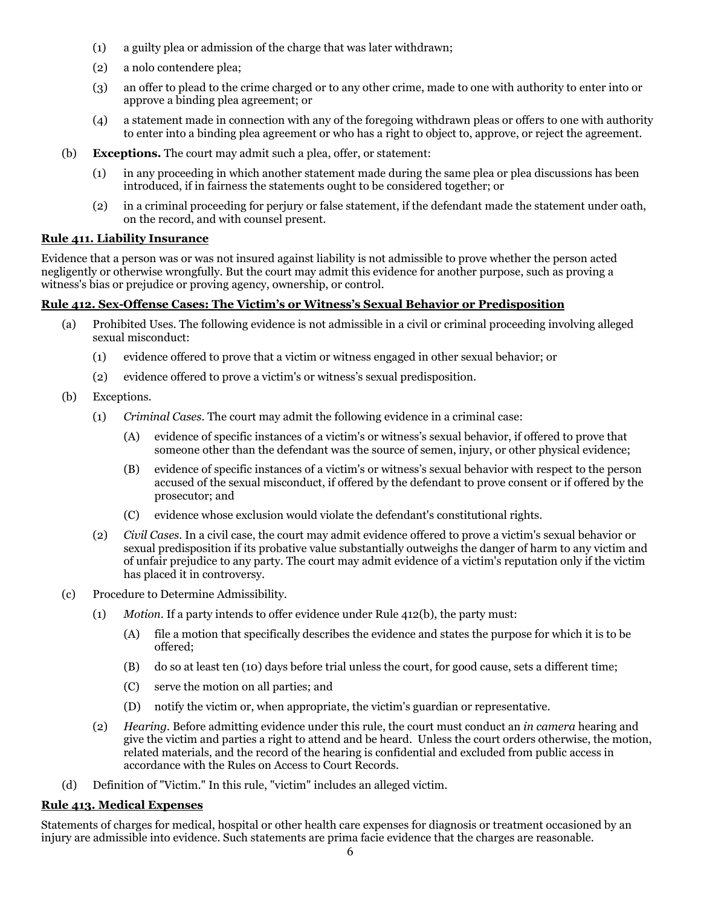- (1) a guilty plea or admission of the charge that was later withdrawn;
- (2) a nolo contendere plea;
- (3) an offer to plead to the crime charged or to any other crime, made to one with authority to enter into or approve a binding plea agreement; or
- (4) a statement made in connection with any of the foregoing withdrawn pleas or offers to one with authority to enter into a binding plea agreement or who has a right to object to, approve, or reject the agreement.
- (b) **Exceptions.** The court may admit such a plea, offer, or statement:
	- (1) in any proceeding in which another statement made during the same plea or plea discussions has been introduced, if in fairness the statements ought to be considered together; or
	- (2) in a criminal proceeding for perjury or false statement, if the defendant made the statement under oath, on the record, and with counsel present.

## <span id="page-5-0"></span>**Rule 411. Liability Insurance**

Evidence that a person was or was not insured against liability is not admissible to prove whether the person acted negligently or otherwise wrongfully. But the court may admit this evidence for another purpose, such as proving a witness's bias or prejudice or proving agency, ownership, or control.

# <span id="page-5-1"></span>**Rule 412. Sex-Offense Cases: The Victim's or Witness's Sexual Behavior or Predisposition**

- (a) Prohibited Uses. The following evidence is not admissible in a civil or criminal proceeding involving alleged sexual misconduct:
	- (1) evidence offered to prove that a victim or witness engaged in other sexual behavior; or
	- (2) evidence offered to prove a victim's or witness's sexual predisposition.
- (b) Exceptions.
	- (1) *Criminal Cases.* The court may admit the following evidence in a criminal case:
		- (A) evidence of specific instances of a victim's or witness's sexual behavior, if offered to prove that someone other than the defendant was the source of semen, injury, or other physical evidence;
		- (B) evidence of specific instances of a victim's or witness's sexual behavior with respect to the person accused of the sexual misconduct, if offered by the defendant to prove consent or if offered by the prosecutor; and
		- (C) evidence whose exclusion would violate the defendant's constitutional rights.
	- (2) *Civil Cases.* In a civil case, the court may admit evidence offered to prove a victim's sexual behavior or sexual predisposition if its probative value substantially outweighs the danger of harm to any victim and of unfair prejudice to any party. The court may admit evidence of a victim's reputation only if the victim has placed it in controversy.
- (c) Procedure to Determine Admissibility.
	- (1) *Motion*. If a party intends to offer evidence under Rule 412(b), the party must:
		- (A) file a motion that specifically describes the evidence and states the purpose for which it is to be offered;
		- (B) do so at least ten (10) days before trial unless the court, for good cause, sets a different time;
		- (C) serve the motion on all parties; and
		- (D) notify the victim or, when appropriate, the victim's guardian or representative.
	- (2) *Hearing.* Before admitting evidence under this rule, the court must conduct an *in camera* hearing and give the victim and parties a right to attend and be heard. Unless the court orders otherwise, the motion, related materials, and the record of the hearing is confidential and excluded from public access in accordance with the Rules on Access to Court Records.
- (d) Definition of "Victim." In this rule, "victim" includes an alleged victim.

## <span id="page-5-2"></span>**Rule 413. Medical Expenses**

Statements of charges for medical, hospital or other health care expenses for diagnosis or treatment occasioned by an injury are admissible into evidence. Such statements are prima facie evidence that the charges are reasonable.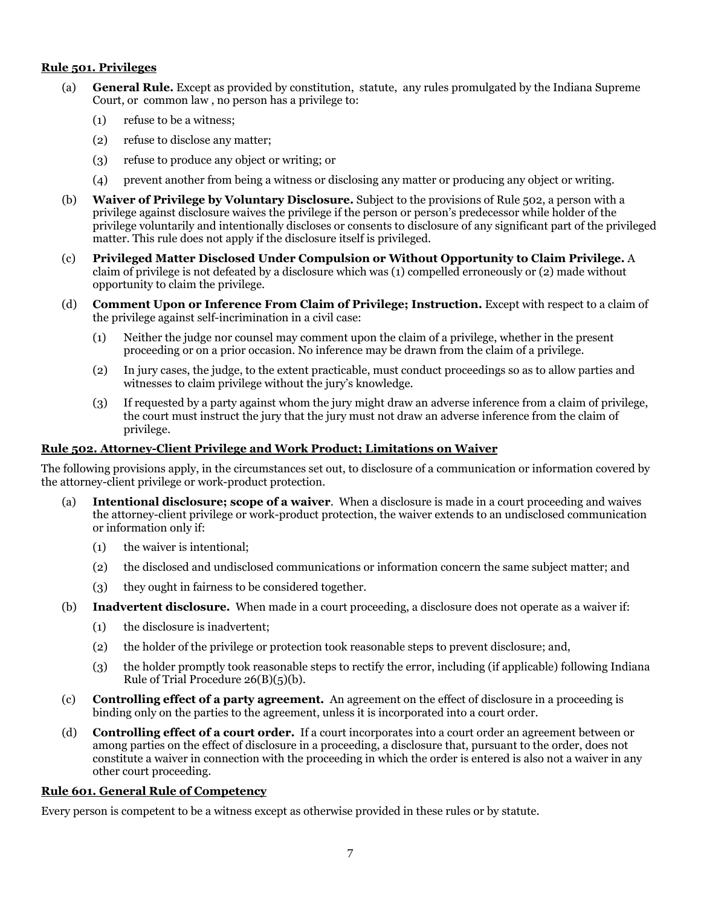#### <span id="page-6-0"></span>**Rule 501. Privileges**

- (a) **General Rule.** Except as provided by constitution, statute, any rules promulgated by the Indiana Supreme Court, or common law , no person has a privilege to:
	- (1) refuse to be a witness;
	- (2) refuse to disclose any matter;
	- (3) refuse to produce any object or writing; or
	- (4) prevent another from being a witness or disclosing any matter or producing any object or writing.
- (b) **Waiver of Privilege by Voluntary Disclosure.** Subject to the provisions of Rule 502, a person with a privilege against disclosure waives the privilege if the person or person's predecessor while holder of the privilege voluntarily and intentionally discloses or consents to disclosure of any significant part of the privileged matter. This rule does not apply if the disclosure itself is privileged.
- (c) **Privileged Matter Disclosed Under Compulsion or Without Opportunity to Claim Privilege.** A claim of privilege is not defeated by a disclosure which was (1) compelled erroneously or (2) made without opportunity to claim the privilege.
- (d) **Comment Upon or Inference From Claim of Privilege; Instruction.** Except with respect to a claim of the privilege against self-incrimination in a civil case:
	- (1) Neither the judge nor counsel may comment upon the claim of a privilege, whether in the present proceeding or on a prior occasion. No inference may be drawn from the claim of a privilege.
	- (2) In jury cases, the judge, to the extent practicable, must conduct proceedings so as to allow parties and witnesses to claim privilege without the jury's knowledge.
	- (3) If requested by a party against whom the jury might draw an adverse inference from a claim of privilege, the court must instruct the jury that the jury must not draw an adverse inference from the claim of privilege.

#### <span id="page-6-1"></span>**Rule 502. Attorney-Client Privilege and Work Product; Limitations on Waiver**

The following provisions apply, in the circumstances set out, to disclosure of a communication or information covered by the attorney-client privilege or work-product protection.

- (a) **Intentional disclosure; scope of a waiver**. When a disclosure is made in a court proceeding and waives the attorney-client privilege or work-product protection, the waiver extends to an undisclosed communication or information only if:
	- (1) the waiver is intentional;
	- (2) the disclosed and undisclosed communications or information concern the same subject matter; and
	- (3) they ought in fairness to be considered together.
- (b) **Inadvertent disclosure.** When made in a court proceeding, a disclosure does not operate as a waiver if:
	- (1) the disclosure is inadvertent;
	- (2) the holder of the privilege or protection took reasonable steps to prevent disclosure; and,
	- (3) the holder promptly took reasonable steps to rectify the error, including (if applicable) following Indiana Rule of Trial Procedure 26(B)(5)(b).
- (c) **Controlling effect of a party agreement.** An agreement on the effect of disclosure in a proceeding is binding only on the parties to the agreement, unless it is incorporated into a court order.
- (d) **Controlling effect of a court order.** If a court incorporates into a court order an agreement between or among parties on the effect of disclosure in a proceeding, a disclosure that, pursuant to the order, does not constitute a waiver in connection with the proceeding in which the order is entered is also not a waiver in any other court proceeding.

#### <span id="page-6-2"></span>**Rule 601. General Rule of Competency**

Every person is competent to be a witness except as otherwise provided in these rules or by statute.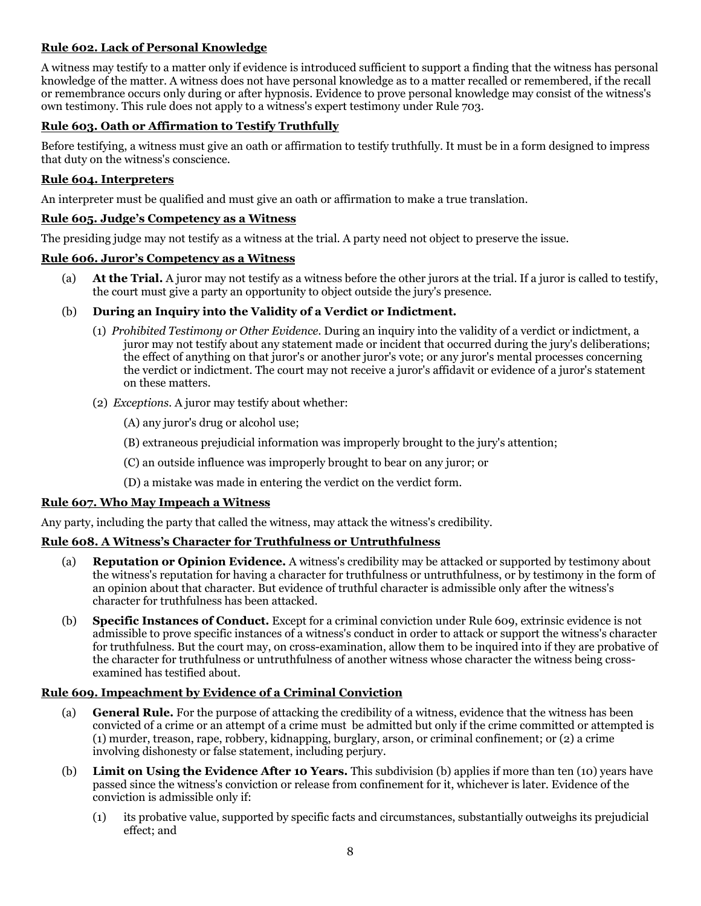# <span id="page-7-0"></span>**Rule 602. Lack of Personal Knowledge**

A witness may testify to a matter only if evidence is introduced sufficient to support a finding that the witness has personal knowledge of the matter. A witness does not have personal knowledge as to a matter recalled or remembered, if the recall or remembrance occurs only during or after hypnosis. Evidence to prove personal knowledge may consist of the witness's own testimony. This rule does not apply to a witness's expert testimony under Rule 703.

# <span id="page-7-1"></span>**Rule 603. Oath or Affirmation to Testify Truthfully**

Before testifying, a witness must give an oath or affirmation to testify truthfully. It must be in a form designed to impress that duty on the witness's conscience.

## <span id="page-7-2"></span>**Rule 604. Interpreters**

An interpreter must be qualified and must give an oath or affirmation to make a true translation.

#### <span id="page-7-3"></span>**Rule 605. Judge's Competency as a Witness**

The presiding judge may not testify as a witness at the trial. A party need not object to preserve the issue.

#### <span id="page-7-4"></span>**Rule 606. Juror's Competency as a Witness**

(a) **At the Trial.** A juror may not testify as a witness before the other jurors at the trial. If a juror is called to testify, the court must give a party an opportunity to object outside the jury's presence.

## (b) **During an Inquiry into the Validity of a Verdict or Indictment.**

- (1) *Prohibited Testimony or Other Evidence.* During an inquiry into the validity of a verdict or indictment, a juror may not testify about any statement made or incident that occurred during the jury's deliberations; the effect of anything on that juror's or another juror's vote; or any juror's mental processes concerning the verdict or indictment. The court may not receive a juror's affidavit or evidence of a juror's statement on these matters.
- (2) *Exceptions.* A juror may testify about whether:

(A) any juror's drug or alcohol use;

- (B) extraneous prejudicial information was improperly brought to the jury's attention;
- (C) an outside influence was improperly brought to bear on any juror; or
- (D) a mistake was made in entering the verdict on the verdict form.

#### <span id="page-7-5"></span>**Rule 607. Who May Impeach a Witness**

Any party, including the party that called the witness, may attack the witness's credibility.

# <span id="page-7-6"></span>**Rule 608. A Witness's Character for Truthfulness or Untruthfulness**

- (a) **Reputation or Opinion Evidence.** A witness's credibility may be attacked or supported by testimony about the witness's reputation for having a character for truthfulness or untruthfulness, or by testimony in the form of an opinion about that character. But evidence of truthful character is admissible only after the witness's character for truthfulness has been attacked.
- (b) **Specific Instances of Conduct.** Except for a criminal conviction under Rule 609, extrinsic evidence is not admissible to prove specific instances of a witness's conduct in order to attack or support the witness's character for truthfulness. But the court may, on cross-examination, allow them to be inquired into if they are probative of the character for truthfulness or untruthfulness of another witness whose character the witness being crossexamined has testified about.

## <span id="page-7-7"></span>**Rule 609. Impeachment by Evidence of a Criminal Conviction**

- (a) **General Rule.** For the purpose of attacking the credibility of a witness, evidence that the witness has been convicted of a crime or an attempt of a crime must be admitted but only if the crime committed or attempted is (1) murder, treason, rape, robbery, kidnapping, burglary, arson, or criminal confinement; or (2) a crime involving dishonesty or false statement, including perjury.
- (b) **Limit on Using the Evidence After 10 Years.** This subdivision (b) applies if more than ten (10) years have passed since the witness's conviction or release from confinement for it, whichever is later. Evidence of the conviction is admissible only if:
	- (1) its probative value, supported by specific facts and circumstances, substantially outweighs its prejudicial effect; and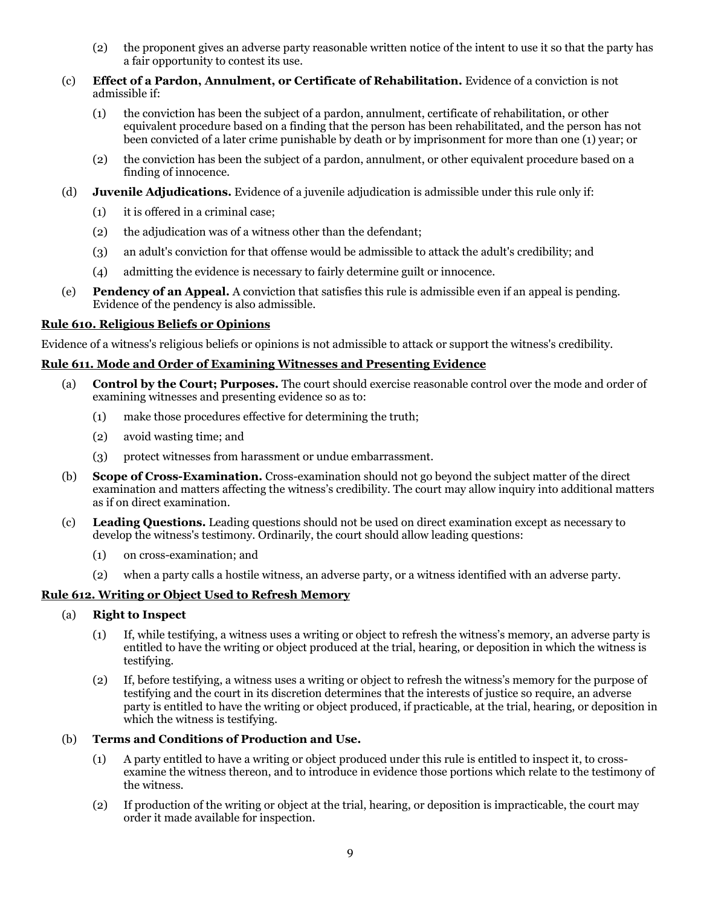- (2) the proponent gives an adverse party reasonable written notice of the intent to use it so that the party has a fair opportunity to contest its use.
- (c) **Effect of a Pardon, Annulment, or Certificate of Rehabilitation.** Evidence of a conviction is not admissible if:
	- (1) the conviction has been the subject of a pardon, annulment, certificate of rehabilitation, or other equivalent procedure based on a finding that the person has been rehabilitated, and the person has not been convicted of a later crime punishable by death or by imprisonment for more than one (1) year; or
	- (2) the conviction has been the subject of a pardon, annulment, or other equivalent procedure based on a finding of innocence.
- (d) **Juvenile Adjudications.** Evidence of a juvenile adjudication is admissible under this rule only if:
	- (1) it is offered in a criminal case;
	- (2) the adjudication was of a witness other than the defendant;
	- (3) an adult's conviction for that offense would be admissible to attack the adult's credibility; and
	- (4) admitting the evidence is necessary to fairly determine guilt or innocence.
- (e) **Pendency of an Appeal.** A conviction that satisfies this rule is admissible even if an appeal is pending. Evidence of the pendency is also admissible.

# <span id="page-8-0"></span>**Rule 610. Religious Beliefs or Opinions**

Evidence of a witness's religious beliefs or opinions is not admissible to attack or support the witness's credibility.

## <span id="page-8-1"></span>**Rule 611. Mode and Order of Examining Witnesses and Presenting Evidence**

- (a) **Control by the Court; Purposes.** The court should exercise reasonable control over the mode and order of examining witnesses and presenting evidence so as to:
	- (1) make those procedures effective for determining the truth;
	- (2) avoid wasting time; and
	- (3) protect witnesses from harassment or undue embarrassment.
- (b) **Scope of Cross-Examination.** Cross-examination should not go beyond the subject matter of the direct examination and matters affecting the witness's credibility. The court may allow inquiry into additional matters as if on direct examination.
- (c) **Leading Questions.** Leading questions should not be used on direct examination except as necessary to develop the witness's testimony. Ordinarily, the court should allow leading questions:
	- (1) on cross-examination; and
	- (2) when a party calls a hostile witness, an adverse party, or a witness identified with an adverse party.

## <span id="page-8-2"></span>**Rule 612. Writing or Object Used to Refresh Memory**

## (a) **Right to Inspect**

- (1) If, while testifying, a witness uses a writing or object to refresh the witness's memory, an adverse party is entitled to have the writing or object produced at the trial, hearing, or deposition in which the witness is testifying.
- (2) If, before testifying, a witness uses a writing or object to refresh the witness's memory for the purpose of testifying and the court in its discretion determines that the interests of justice so require, an adverse party is entitled to have the writing or object produced, if practicable, at the trial, hearing, or deposition in which the witness is testifying.

## (b) **Terms and Conditions of Production and Use.**

- (1) A party entitled to have a writing or object produced under this rule is entitled to inspect it, to crossexamine the witness thereon, and to introduce in evidence those portions which relate to the testimony of the witness.
- (2) If production of the writing or object at the trial, hearing, or deposition is impracticable, the court may order it made available for inspection.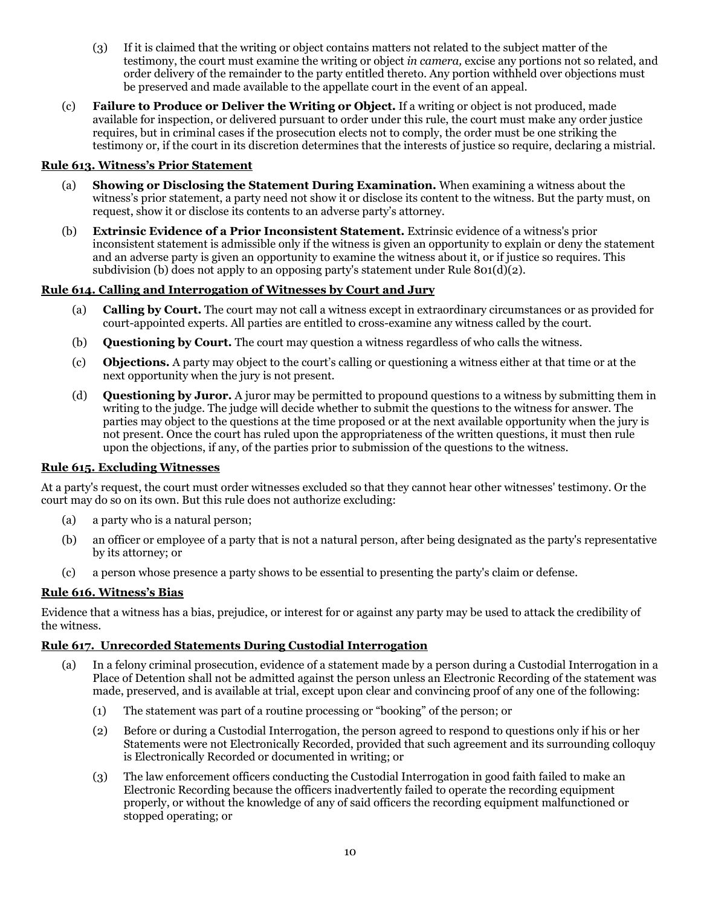- (3) If it is claimed that the writing or object contains matters not related to the subject matter of the testimony, the court must examine the writing or object *in camera,* excise any portions not so related, and order delivery of the remainder to the party entitled thereto. Any portion withheld over objections must be preserved and made available to the appellate court in the event of an appeal.
- (c) **Failure to Produce or Deliver the Writing or Object.** If a writing or object is not produced, made available for inspection, or delivered pursuant to order under this rule, the court must make any order justice requires, but in criminal cases if the prosecution elects not to comply, the order must be one striking the testimony or, if the court in its discretion determines that the interests of justice so require, declaring a mistrial.

# <span id="page-9-0"></span>**Rule 613. Witness's Prior Statement**

- (a) **Showing or Disclosing the Statement During Examination.** When examining a witness about the witness's prior statement, a party need not show it or disclose its content to the witness. But the party must, on request, show it or disclose its contents to an adverse party's attorney.
- (b) **Extrinsic Evidence of a Prior Inconsistent Statement.** Extrinsic evidence of a witness's prior inconsistent statement is admissible only if the witness is given an opportunity to explain or deny the statement and an adverse party is given an opportunity to examine the witness about it, or if justice so requires. This subdivision (b) does not apply to an opposing party's statement under Rule 801(d)(2).

# <span id="page-9-1"></span>**Rule 614. Calling and Interrogation of Witnesses by Court and Jury**

- (a) **Calling by Court.** The court may not call a witness except in extraordinary circumstances or as provided for court-appointed experts. All parties are entitled to cross-examine any witness called by the court.
- (b) **Questioning by Court.** The court may question a witness regardless of who calls the witness.
- (c) **Objections.** A party may object to the court's calling or questioning a witness either at that time or at the next opportunity when the jury is not present.
- (d) **Questioning by Juror.** A juror may be permitted to propound questions to a witness by submitting them in writing to the judge. The judge will decide whether to submit the questions to the witness for answer. The parties may object to the questions at the time proposed or at the next available opportunity when the jury is not present. Once the court has ruled upon the appropriateness of the written questions, it must then rule upon the objections, if any, of the parties prior to submission of the questions to the witness.

## <span id="page-9-2"></span>**Rule 615. Excluding Witnesses**

At a party's request, the court must order witnesses excluded so that they cannot hear other witnesses' testimony. Or the court may do so on its own. But this rule does not authorize excluding:

- (a) a party who is a natural person;
- (b) an officer or employee of a party that is not a natural person, after being designated as the party's representative by its attorney; or
- (c) a person whose presence a party shows to be essential to presenting the party's claim or defense.

## <span id="page-9-3"></span>**Rule 616. Witness's Bias**

Evidence that a witness has a bias, prejudice, or interest for or against any party may be used to attack the credibility of the witness.

## <span id="page-9-4"></span>**Rule 617. Unrecorded Statements During Custodial Interrogation**

- (a) In a felony criminal prosecution, evidence of a statement made by a person during a Custodial Interrogation in a Place of Detention shall not be admitted against the person unless an Electronic Recording of the statement was made, preserved, and is available at trial, except upon clear and convincing proof of any one of the following:
	- (1) The statement was part of a routine processing or "booking" of the person; or
	- (2) Before or during a Custodial Interrogation, the person agreed to respond to questions only if his or her Statements were not Electronically Recorded, provided that such agreement and its surrounding colloquy is Electronically Recorded or documented in writing; or
	- (3) The law enforcement officers conducting the Custodial Interrogation in good faith failed to make an Electronic Recording because the officers inadvertently failed to operate the recording equipment properly, or without the knowledge of any of said officers the recording equipment malfunctioned or stopped operating; or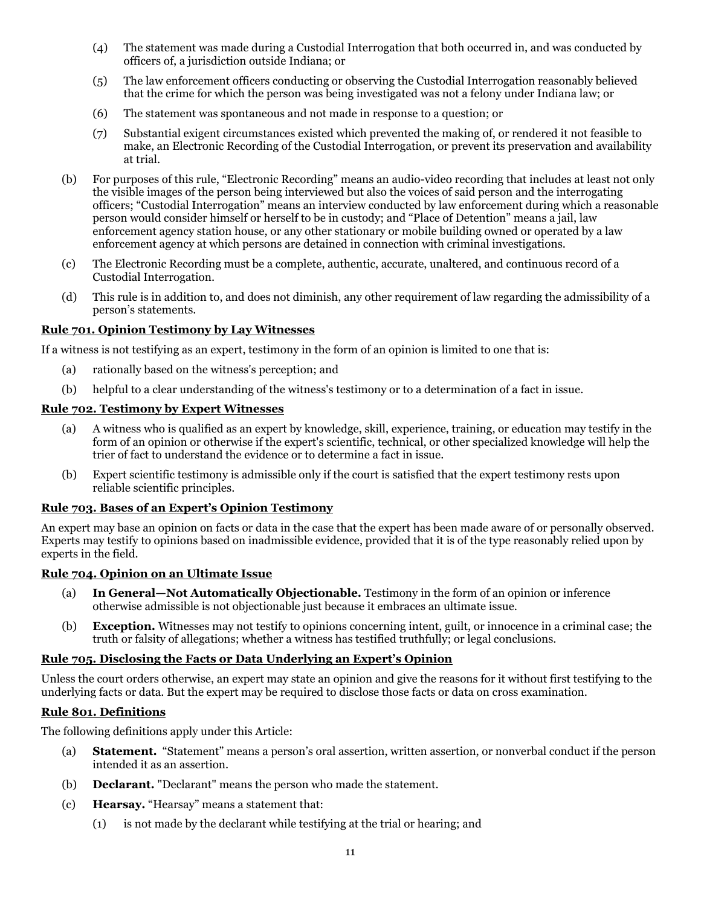- (4) The statement was made during a Custodial Interrogation that both occurred in, and was conducted by officers of, a jurisdiction outside Indiana; or
- (5) The law enforcement officers conducting or observing the Custodial Interrogation reasonably believed that the crime for which the person was being investigated was not a felony under Indiana law; or
- (6) The statement was spontaneous and not made in response to a question; or
- (7) Substantial exigent circumstances existed which prevented the making of, or rendered it not feasible to make, an Electronic Recording of the Custodial Interrogation, or prevent its preservation and availability at trial.
- (b) For purposes of this rule, "Electronic Recording" means an audio-video recording that includes at least not only the visible images of the person being interviewed but also the voices of said person and the interrogating officers; "Custodial Interrogation" means an interview conducted by law enforcement during which a reasonable person would consider himself or herself to be in custody; and "Place of Detention" means a jail, law enforcement agency station house, or any other stationary or mobile building owned or operated by a law enforcement agency at which persons are detained in connection with criminal investigations.
- (c) The Electronic Recording must be a complete, authentic, accurate, unaltered, and continuous record of a Custodial Interrogation.
- (d) This rule is in addition to, and does not diminish, any other requirement of law regarding the admissibility of a person's statements.

#### <span id="page-10-0"></span>**Rule 701. Opinion Testimony by Lay Witnesses**

If a witness is not testifying as an expert, testimony in the form of an opinion is limited to one that is:

- (a) rationally based on the witness's perception; and
- (b) helpful to a clear understanding of the witness's testimony or to a determination of a fact in issue.

#### <span id="page-10-1"></span>**Rule 702. Testimony by Expert Witnesses**

- (a) A witness who is qualified as an expert by knowledge, skill, experience, training, or education may testify in the form of an opinion or otherwise if the expert's scientific, technical, or other specialized knowledge will help the trier of fact to understand the evidence or to determine a fact in issue.
- (b) Expert scientific testimony is admissible only if the court is satisfied that the expert testimony rests upon reliable scientific principles.

#### <span id="page-10-2"></span>**Rule 703. Bases of an Expert's Opinion Testimony**

An expert may base an opinion on facts or data in the case that the expert has been made aware of or personally observed. Experts may testify to opinions based on inadmissible evidence, provided that it is of the type reasonably relied upon by experts in the field.

#### <span id="page-10-3"></span>**Rule 704. Opinion on an Ultimate Issue**

- (a) **In General—Not Automatically Objectionable.** Testimony in the form of an opinion or inference otherwise admissible is not objectionable just because it embraces an ultimate issue.
- (b) **Exception.** Witnesses may not testify to opinions concerning intent, guilt, or innocence in a criminal case; the truth or falsity of allegations; whether a witness has testified truthfully; or legal conclusions.

#### <span id="page-10-4"></span>**Rule 705. Disclosing the Facts or Data Underlying an Expert's Opinion**

Unless the court orders otherwise, an expert may state an opinion and give the reasons for it without first testifying to the underlying facts or data. But the expert may be required to disclose those facts or data on cross examination.

#### <span id="page-10-5"></span>**Rule 801. Definitions**

The following definitions apply under this Article:

- (a) **Statement.** "Statement" means a person's oral assertion, written assertion, or nonverbal conduct if the person intended it as an assertion.
- (b) **Declarant.** "Declarant" means the person who made the statement.
- (c) **Hearsay.** "Hearsay" means a statement that:
	- (1) is not made by the declarant while testifying at the trial or hearing; and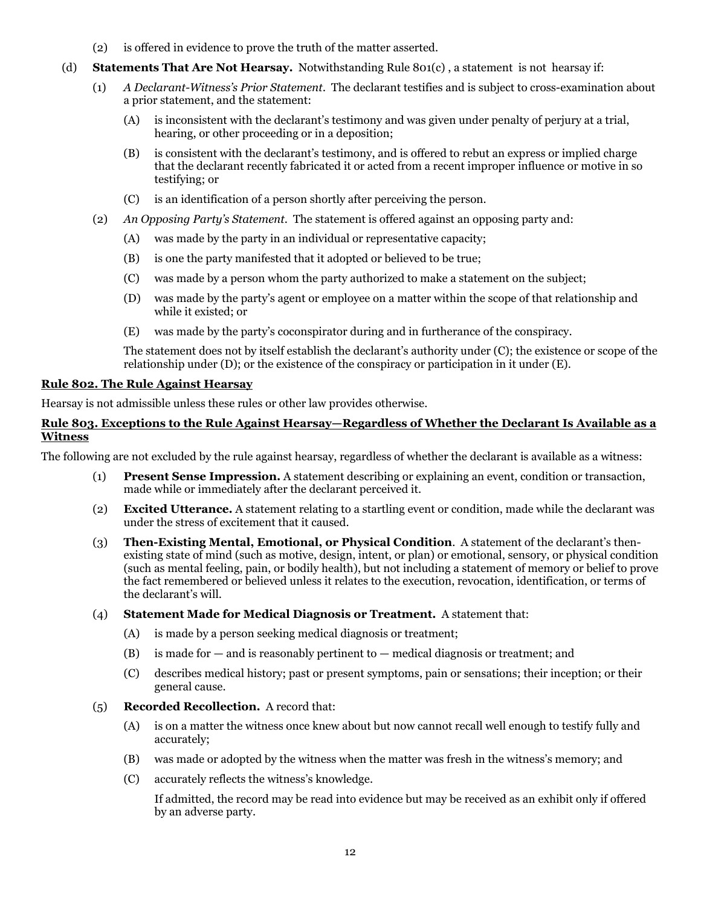- (2) is offered in evidence to prove the truth of the matter asserted.
- (d) **Statements That Are Not Hearsay.** Notwithstanding Rule 801(c) , a statement is not hearsay if:
	- (1) *A Declarant-Witness's Prior Statement.* The declarant testifies and is subject to cross-examination about a prior statement, and the statement:
		- (A) is inconsistent with the declarant's testimony and was given under penalty of perjury at a trial, hearing, or other proceeding or in a deposition;
		- (B) is consistent with the declarant's testimony, and is offered to rebut an express or implied charge that the declarant recently fabricated it or acted from a recent improper influence or motive in so testifying; or
		- (C) is an identification of a person shortly after perceiving the person.
	- (2) *An Opposing Party's Statement*. The statement is offered against an opposing party and:
		- (A) was made by the party in an individual or representative capacity;
		- (B) is one the party manifested that it adopted or believed to be true;
		- (C) was made by a person whom the party authorized to make a statement on the subject;
		- (D) was made by the party's agent or employee on a matter within the scope of that relationship and while it existed; or
		- (E) was made by the party's coconspirator during and in furtherance of the conspiracy.

The statement does not by itself establish the declarant's authority under (C); the existence or scope of the relationship under (D); or the existence of the conspiracy or participation in it under (E).

#### <span id="page-11-0"></span>**Rule 802. The Rule Against Hearsay**

Hearsay is not admissible unless these rules or other law provides otherwise.

#### <span id="page-11-1"></span>**Rule 803. Exceptions to the Rule Against Hearsay—Regardless of Whether the Declarant Is Available as a Witness**

The following are not excluded by the rule against hearsay, regardless of whether the declarant is available as a witness:

- (1) **Present Sense Impression.** A statement describing or explaining an event, condition or transaction, made while or immediately after the declarant perceived it.
- (2) **Excited Utterance.** A statement relating to a startling event or condition, made while the declarant was under the stress of excitement that it caused.
- (3) **Then-Existing Mental, Emotional, or Physical Condition**. A statement of the declarant's thenexisting state of mind (such as motive, design, intent, or plan) or emotional, sensory, or physical condition (such as mental feeling, pain, or bodily health), but not including a statement of memory or belief to prove the fact remembered or believed unless it relates to the execution, revocation, identification, or terms of the declarant's will.
- (4) **Statement Made for Medical Diagnosis or Treatment.** A statement that:
	- (A) is made by a person seeking medical diagnosis or treatment;
	- (B) is made for and is reasonably pertinent to medical diagnosis or treatment; and
	- (C) describes medical history; past or present symptoms, pain or sensations; their inception; or their general cause.
- (5) **Recorded Recollection.** A record that:
	- (A) is on a matter the witness once knew about but now cannot recall well enough to testify fully and accurately;
	- (B) was made or adopted by the witness when the matter was fresh in the witness's memory; and
	- (C) accurately reflects the witness's knowledge.

If admitted, the record may be read into evidence but may be received as an exhibit only if offered by an adverse party.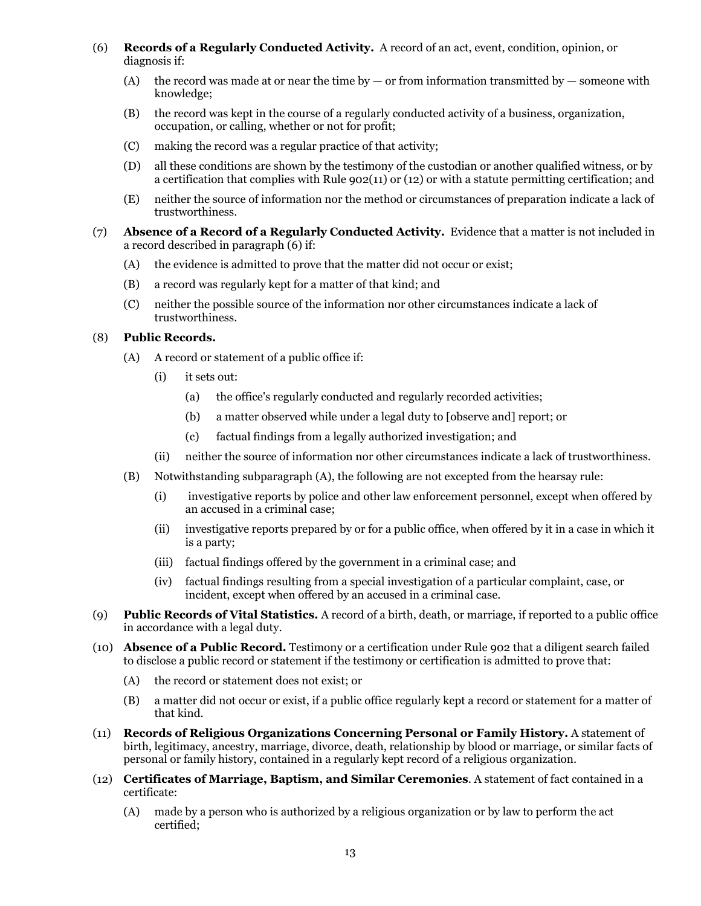- (6) **Records of a Regularly Conducted Activity.** A record of an act, event, condition, opinion, or diagnosis if:
	- (A) the record was made at or near the time by or from information transmitted by someone with knowledge;
	- (B) the record was kept in the course of a regularly conducted activity of a business, organization, occupation, or calling, whether or not for profit;
	- (C) making the record was a regular practice of that activity;
	- (D) all these conditions are shown by the testimony of the custodian or another qualified witness, or by a certification that complies with Rule  $902(11)$  or  $(12)$  or with a statute permitting certification; and
	- (E) neither the source of information nor the method or circumstances of preparation indicate a lack of trustworthiness.
- (7) **Absence of a Record of a Regularly Conducted Activity.** Evidence that a matter is not included in a record described in paragraph (6) if:
	- (A) the evidence is admitted to prove that the matter did not occur or exist;
	- (B) a record was regularly kept for a matter of that kind; and
	- (C) neither the possible source of the information nor other circumstances indicate a lack of trustworthiness.

#### (8) **Public Records.**

- (A) A record or statement of a public office if:
	- (i) it sets out:
		- (a) the office's regularly conducted and regularly recorded activities;
		- (b) a matter observed while under a legal duty to [observe and] report; or
		- (c) factual findings from a legally authorized investigation; and
	- (ii) neither the source of information nor other circumstances indicate a lack of trustworthiness.
- (B) Notwithstanding subparagraph (A), the following are not excepted from the hearsay rule:
	- (i) investigative reports by police and other law enforcement personnel, except when offered by an accused in a criminal case;
	- (ii) investigative reports prepared by or for a public office, when offered by it in a case in which it is a party;
	- (iii) factual findings offered by the government in a criminal case; and
	- (iv) factual findings resulting from a special investigation of a particular complaint, case, or incident, except when offered by an accused in a criminal case.
- (9) **Public Records of Vital Statistics.** A record of a birth, death, or marriage, if reported to a public office in accordance with a legal duty.
- (10) **Absence of a Public Record.** Testimony or a certification under Rule 902 that a diligent search failed to disclose a public record or statement if the testimony or certification is admitted to prove that:
	- (A) the record or statement does not exist; or
	- (B) a matter did not occur or exist, if a public office regularly kept a record or statement for a matter of that kind.
- (11) **Records of Religious Organizations Concerning Personal or Family History.** A statement of birth, legitimacy, ancestry, marriage, divorce, death, relationship by blood or marriage, or similar facts of personal or family history, contained in a regularly kept record of a religious organization.
- (12) **Certificates of Marriage, Baptism, and Similar Ceremonies**. A statement of fact contained in a certificate:
	- (A) made by a person who is authorized by a religious organization or by law to perform the act certified;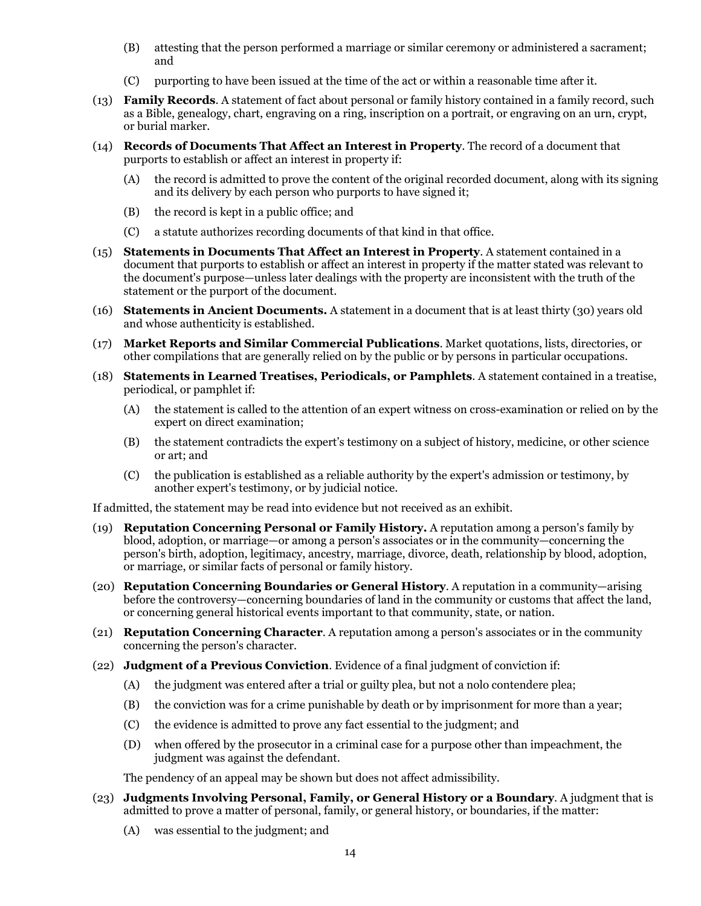- (B) attesting that the person performed a marriage or similar ceremony or administered a sacrament; and
- (C) purporting to have been issued at the time of the act or within a reasonable time after it.
- (13) **Family Records**. A statement of fact about personal or family history contained in a family record, such as a Bible, genealogy, chart, engraving on a ring, inscription on a portrait, or engraving on an urn, crypt, or burial marker.
- (14) **Records of Documents That Affect an Interest in Property**. The record of a document that purports to establish or affect an interest in property if:
	- (A) the record is admitted to prove the content of the original recorded document, along with its signing and its delivery by each person who purports to have signed it;
	- (B) the record is kept in a public office; and
	- (C) a statute authorizes recording documents of that kind in that office.
- (15) **Statements in Documents That Affect an Interest in Property**. A statement contained in a document that purports to establish or affect an interest in property if the matter stated was relevant to the document's purpose—unless later dealings with the property are inconsistent with the truth of the statement or the purport of the document.
- (16) **Statements in Ancient Documents.** A statement in a document that is at least thirty (30) years old and whose authenticity is established.
- (17) **Market Reports and Similar Commercial Publications**. Market quotations, lists, directories, or other compilations that are generally relied on by the public or by persons in particular occupations.
- (18) **Statements in Learned Treatises, Periodicals, or Pamphlets**. A statement contained in a treatise, periodical, or pamphlet if:
	- (A) the statement is called to the attention of an expert witness on cross-examination or relied on by the expert on direct examination;
	- (B) the statement contradicts the expert's testimony on a subject of history, medicine, or other science or art; and
	- (C) the publication is established as a reliable authority by the expert's admission or testimony, by another expert's testimony, or by judicial notice.

If admitted, the statement may be read into evidence but not received as an exhibit.

- (19) **Reputation Concerning Personal or Family History.** A reputation among a person's family by blood, adoption, or marriage—or among a person's associates or in the community—concerning the person's birth, adoption, legitimacy, ancestry, marriage, divorce, death, relationship by blood, adoption, or marriage, or similar facts of personal or family history.
- (20) **Reputation Concerning Boundaries or General History**. A reputation in a community—arising before the controversy—concerning boundaries of land in the community or customs that affect the land, or concerning general historical events important to that community, state, or nation.
- (21) **Reputation Concerning Character**. A reputation among a person's associates or in the community concerning the person's character.
- (22) **Judgment of a Previous Conviction**. Evidence of a final judgment of conviction if:
	- (A) the judgment was entered after a trial or guilty plea, but not a nolo contendere plea;
	- (B) the conviction was for a crime punishable by death or by imprisonment for more than a year;
	- (C) the evidence is admitted to prove any fact essential to the judgment; and
	- (D) when offered by the prosecutor in a criminal case for a purpose other than impeachment, the judgment was against the defendant.

The pendency of an appeal may be shown but does not affect admissibility.

- (23) **Judgments Involving Personal, Family, or General History or a Boundary**. A judgment that is admitted to prove a matter of personal, family, or general history, or boundaries, if the matter:
	- (A) was essential to the judgment; and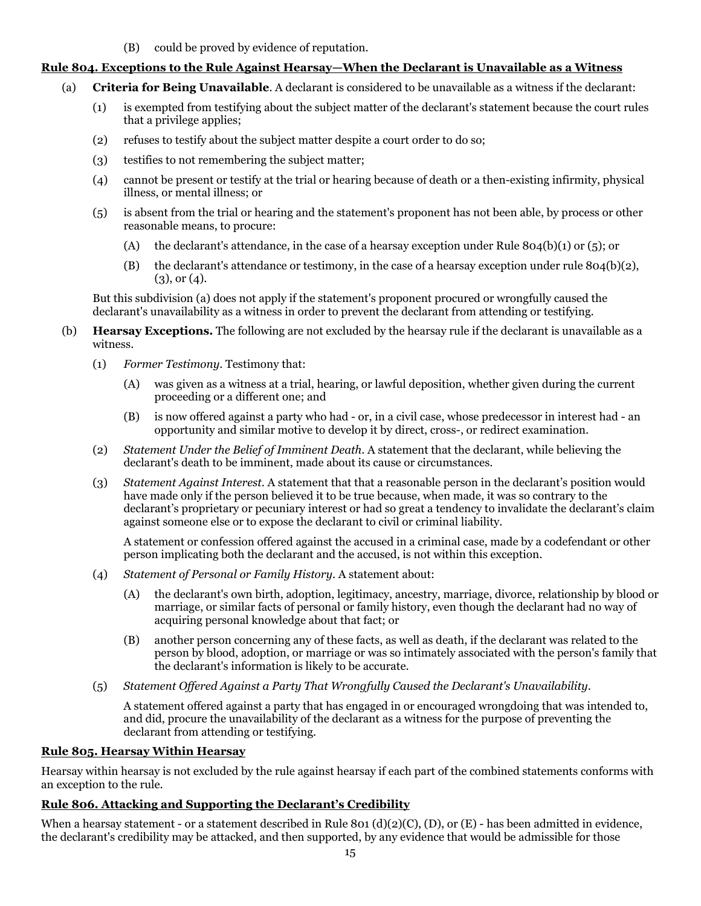(B) could be proved by evidence of reputation.

# <span id="page-14-0"></span>**Rule 804. Exceptions to the Rule Against Hearsay—When the Declarant is Unavailable as a Witness**

- (a) **Criteria for Being Unavailable**. A declarant is considered to be unavailable as a witness if the declarant:
	- (1) is exempted from testifying about the subject matter of the declarant's statement because the court rules that a privilege applies;
	- (2) refuses to testify about the subject matter despite a court order to do so;
	- (3) testifies to not remembering the subject matter;
	- (4) cannot be present or testify at the trial or hearing because of death or a then-existing infirmity, physical illness, or mental illness; or
	- (5) is absent from the trial or hearing and the statement's proponent has not been able, by process or other reasonable means, to procure:
		- (A) the declarant's attendance, in the case of a hearsay exception under Rule 804(b)(1) or (5); or
		- (B) the declarant's attendance or testimony, in the case of a hearsay exception under rule  $804(b)(2)$ ,  $(3)$ , or  $(4)$ .

But this subdivision (a) does not apply if the statement's proponent procured or wrongfully caused the declarant's unavailability as a witness in order to prevent the declarant from attending or testifying.

- (b) **Hearsay Exceptions.** The following are not excluded by the hearsay rule if the declarant is unavailable as a witness.
	- (1) *Former Testimony*. Testimony that:
		- (A) was given as a witness at a trial, hearing, or lawful deposition, whether given during the current proceeding or a different one; and
		- (B) is now offered against a party who had or, in a civil case, whose predecessor in interest had an opportunity and similar motive to develop it by direct, cross-, or redirect examination.
	- (2) *Statement Under the Belief of Imminent Death*. A statement that the declarant, while believing the declarant's death to be imminent, made about its cause or circumstances.
	- (3) *Statement Against Interest*. A statement that that a reasonable person in the declarant's position would have made only if the person believed it to be true because, when made, it was so contrary to the declarant's proprietary or pecuniary interest or had so great a tendency to invalidate the declarant's claim against someone else or to expose the declarant to civil or criminal liability.

A statement or confession offered against the accused in a criminal case, made by a codefendant or other person implicating both the declarant and the accused, is not within this exception.

- (4) *Statement of Personal or Family History*. A statement about:
	- (A) the declarant's own birth, adoption, legitimacy, ancestry, marriage, divorce, relationship by blood or marriage, or similar facts of personal or family history, even though the declarant had no way of acquiring personal knowledge about that fact; or
	- (B) another person concerning any of these facts, as well as death, if the declarant was related to the person by blood, adoption, or marriage or was so intimately associated with the person's family that the declarant's information is likely to be accurate.
- (5) *Statement Offered Against a Party That Wrongfully Caused the Declarant's Unavailability*.

A statement offered against a party that has engaged in or encouraged wrongdoing that was intended to, and did, procure the unavailability of the declarant as a witness for the purpose of preventing the declarant from attending or testifying.

# <span id="page-14-1"></span>**Rule 805. Hearsay Within Hearsay**

Hearsay within hearsay is not excluded by the rule against hearsay if each part of the combined statements conforms with an exception to the rule.

# <span id="page-14-2"></span>**Rule 806. Attacking and Supporting the Declarant's Credibility**

When a hearsay statement - or a statement described in Rule 801 (d)(2)(C), (D), or (E) - has been admitted in evidence, the declarant's credibility may be attacked, and then supported, by any evidence that would be admissible for those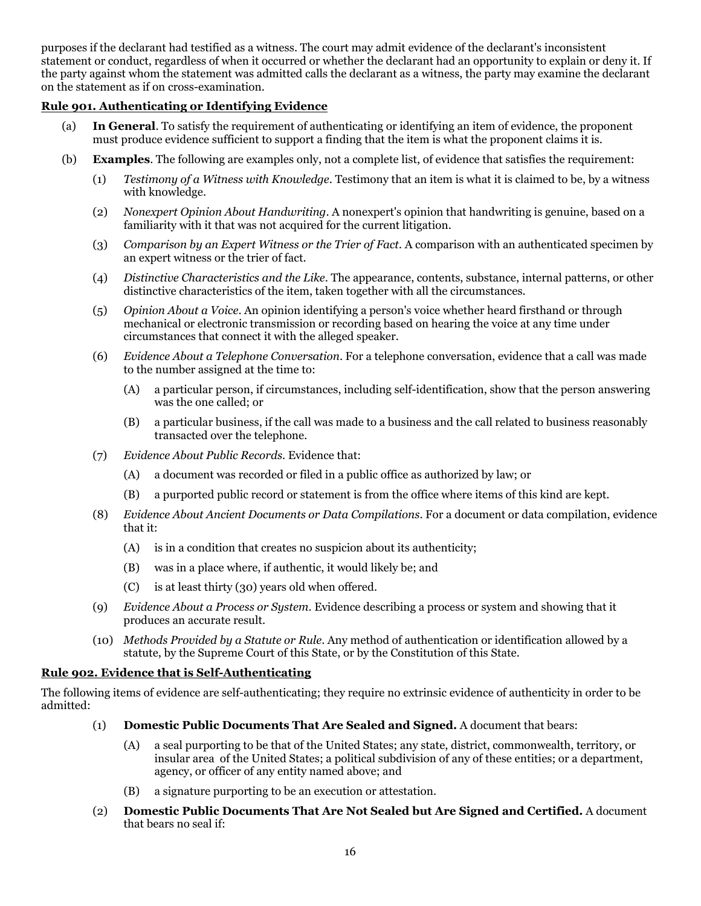purposes if the declarant had testified as a witness. The court may admit evidence of the declarant's inconsistent statement or conduct, regardless of when it occurred or whether the declarant had an opportunity to explain or deny it. If the party against whom the statement was admitted calls the declarant as a witness, the party may examine the declarant on the statement as if on cross-examination.

# <span id="page-15-0"></span>**Rule 901. Authenticating or Identifying Evidence**

- (a) **In General**. To satisfy the requirement of authenticating or identifying an item of evidence, the proponent must produce evidence sufficient to support a finding that the item is what the proponent claims it is.
- (b) **Examples**. The following are examples only, not a complete list, of evidence that satisfies the requirement:
	- (1) *Testimony of a Witness with Knowledge*. Testimony that an item is what it is claimed to be, by a witness with knowledge.
	- (2) *Nonexpert Opinion About Handwriting*. A nonexpert's opinion that handwriting is genuine, based on a familiarity with it that was not acquired for the current litigation.
	- (3) *Comparison by an Expert Witness or the Trier of Fact.* A comparison with an authenticated specimen by an expert witness or the trier of fact.
	- (4) *Distinctive Characteristics and the Like*. The appearance, contents, substance, internal patterns, or other distinctive characteristics of the item, taken together with all the circumstances.
	- (5) *Opinion About a Voice*. An opinion identifying a person's voice whether heard firsthand or through mechanical or electronic transmission or recording based on hearing the voice at any time under circumstances that connect it with the alleged speaker.
	- (6) *Evidence About a Telephone Conversation*. For a telephone conversation, evidence that a call was made to the number assigned at the time to:
		- (A) a particular person, if circumstances, including self-identification, show that the person answering was the one called; or
		- (B) a particular business, if the call was made to a business and the call related to business reasonably transacted over the telephone.
	- (7) *Evidence About Public Records*. Evidence that:
		- (A) a document was recorded or filed in a public office as authorized by law; or
		- (B) a purported public record or statement is from the office where items of this kind are kept.
	- (8) *Evidence About Ancient Documents or Data Compilations*. For a document or data compilation, evidence that it:
		- (A) is in a condition that creates no suspicion about its authenticity;
		- (B) was in a place where, if authentic, it would likely be; and
		- (C) is at least thirty (30) years old when offered.
	- (9) *Evidence About a Process or System*. Evidence describing a process or system and showing that it produces an accurate result.
	- (10) *Methods Provided by a Statute or Rule*. Any method of authentication or identification allowed by a statute, by the Supreme Court of this State, or by the Constitution of this State.

## <span id="page-15-1"></span>**Rule 902. Evidence that is Self-Authenticating**

The following items of evidence are self-authenticating; they require no extrinsic evidence of authenticity in order to be admitted:

- (1) **Domestic Public Documents That Are Sealed and Signed.** A document that bears:
	- (A) a seal purporting to be that of the United States; any state, district, commonwealth, territory, or insular area of the United States; a political subdivision of any of these entities; or a department, agency, or officer of any entity named above; and
	- (B) a signature purporting to be an execution or attestation.
- (2) **Domestic Public Documents That Are Not Sealed but Are Signed and Certified.** A document that bears no seal if: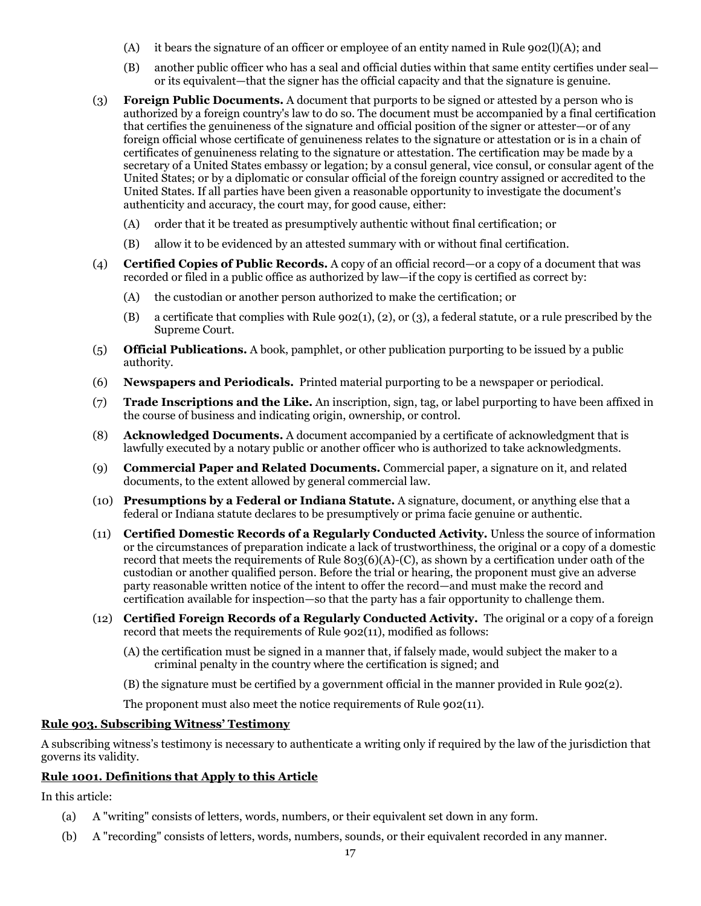- (A) it bears the signature of an officer or employee of an entity named in Rule  $902(1)(A)$ ; and
- (B) another public officer who has a seal and official duties within that same entity certifies under seal or its equivalent—that the signer has the official capacity and that the signature is genuine.
- (3) **Foreign Public Documents.** A document that purports to be signed or attested by a person who is authorized by a foreign country's law to do so. The document must be accompanied by a final certification that certifies the genuineness of the signature and official position of the signer or attester—or of any foreign official whose certificate of genuineness relates to the signature or attestation or is in a chain of certificates of genuineness relating to the signature or attestation. The certification may be made by a secretary of a United States embassy or legation; by a consul general, vice consul, or consular agent of the United States; or by a diplomatic or consular official of the foreign country assigned or accredited to the United States. If all parties have been given a reasonable opportunity to investigate the document's authenticity and accuracy, the court may, for good cause, either:
	- (A) order that it be treated as presumptively authentic without final certification; or
	- (B) allow it to be evidenced by an attested summary with or without final certification.
- (4) **Certified Copies of Public Records.** A copy of an official record—or a copy of a document that was recorded or filed in a public office as authorized by law—if the copy is certified as correct by:
	- (A) the custodian or another person authorized to make the certification; or
	- (B) a certificate that complies with Rule 902(1), (2), or (3), a federal statute, or a rule prescribed by the Supreme Court.
- (5) **Official Publications.** A book, pamphlet, or other publication purporting to be issued by a public authority.
- (6) **Newspapers and Periodicals.** Printed material purporting to be a newspaper or periodical.
- (7) **Trade Inscriptions and the Like.** An inscription, sign, tag, or label purporting to have been affixed in the course of business and indicating origin, ownership, or control.
- (8) **Acknowledged Documents.** A document accompanied by a certificate of acknowledgment that is lawfully executed by a notary public or another officer who is authorized to take acknowledgments.
- (9) **Commercial Paper and Related Documents.** Commercial paper, a signature on it, and related documents, to the extent allowed by general commercial law.
- (10) **Presumptions by a Federal or Indiana Statute.** A signature, document, or anything else that a federal or Indiana statute declares to be presumptively or prima facie genuine or authentic.
- (11) **Certified Domestic Records of a Regularly Conducted Activity.** Unless the source of information or the circumstances of preparation indicate a lack of trustworthiness, the original or a copy of a domestic record that meets the requirements of Rule 803(6)(A)-(C), as shown by a certification under oath of the custodian or another qualified person. Before the trial or hearing, the proponent must give an adverse party reasonable written notice of the intent to offer the record—and must make the record and certification available for inspection—so that the party has a fair opportunity to challenge them.
- (12) **Certified Foreign Records of a Regularly Conducted Activity.** The original or a copy of a foreign record that meets the requirements of Rule 902(11), modified as follows:
	- (A) the certification must be signed in a manner that, if falsely made, would subject the maker to a criminal penalty in the country where the certification is signed; and
	- (B) the signature must be certified by a government official in the manner provided in Rule 902(2).

The proponent must also meet the notice requirements of Rule 902(11).

# <span id="page-16-0"></span>**Rule 903. Subscribing Witness' Testimony**

A subscribing witness's testimony is necessary to authenticate a writing only if required by the law of the jurisdiction that governs its validity.

# <span id="page-16-1"></span>**Rule 1001. Definitions that Apply to this Article**

In this article:

- (a) A "writing" consists of letters, words, numbers, or their equivalent set down in any form.
- (b) A "recording" consists of letters, words, numbers, sounds, or their equivalent recorded in any manner.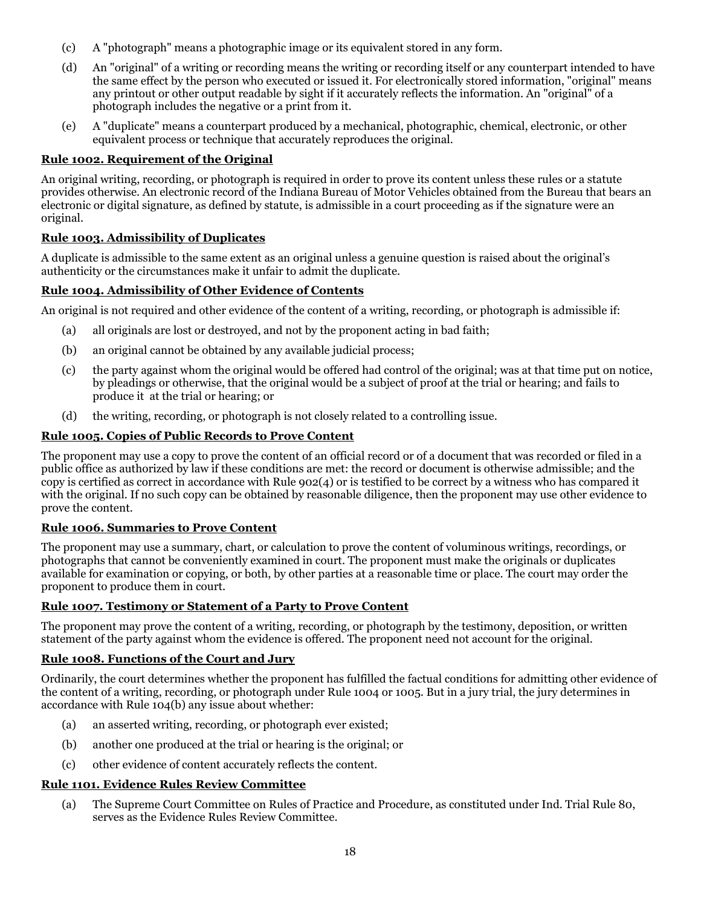- (c) A "photograph" means a photographic image or its equivalent stored in any form.
- (d) An "original" of a writing or recording means the writing or recording itself or any counterpart intended to have the same effect by the person who executed or issued it. For electronically stored information, "original" means any printout or other output readable by sight if it accurately reflects the information. An "original" of a photograph includes the negative or a print from it.
- (e) A "duplicate" means a counterpart produced by a mechanical, photographic, chemical, electronic, or other equivalent process or technique that accurately reproduces the original.

#### <span id="page-17-0"></span>**Rule 1002. Requirement of the Original**

An original writing, recording, or photograph is required in order to prove its content unless these rules or a statute provides otherwise. An electronic record of the Indiana Bureau of Motor Vehicles obtained from the Bureau that bears an electronic or digital signature, as defined by statute, is admissible in a court proceeding as if the signature were an original.

#### <span id="page-17-1"></span>**Rule 1003. Admissibility of Duplicates**

A duplicate is admissible to the same extent as an original unless a genuine question is raised about the original's authenticity or the circumstances make it unfair to admit the duplicate.

# <span id="page-17-2"></span>**Rule 1004. Admissibility of Other Evidence of Contents**

An original is not required and other evidence of the content of a writing, recording, or photograph is admissible if:

- (a) all originals are lost or destroyed, and not by the proponent acting in bad faith;
- (b) an original cannot be obtained by any available judicial process;
- (c) the party against whom the original would be offered had control of the original; was at that time put on notice, by pleadings or otherwise, that the original would be a subject of proof at the trial or hearing; and fails to produce it at the trial or hearing; or
- (d) the writing, recording, or photograph is not closely related to a controlling issue.

#### <span id="page-17-3"></span>**Rule 1005. Copies of Public Records to Prove Content**

The proponent may use a copy to prove the content of an official record or of a document that was recorded or filed in a public office as authorized by law if these conditions are met: the record or document is otherwise admissible; and the copy is certified as correct in accordance with Rule 902(4) or is testified to be correct by a witness who has compared it with the original. If no such copy can be obtained by reasonable diligence, then the proponent may use other evidence to prove the content.

#### <span id="page-17-4"></span>**Rule 1006. Summaries to Prove Content**

The proponent may use a summary, chart, or calculation to prove the content of voluminous writings, recordings, or photographs that cannot be conveniently examined in court. The proponent must make the originals or duplicates available for examination or copying, or both, by other parties at a reasonable time or place. The court may order the proponent to produce them in court.

#### <span id="page-17-5"></span>**Rule 1007. Testimony or Statement of a Party to Prove Content**

The proponent may prove the content of a writing, recording, or photograph by the testimony, deposition, or written statement of the party against whom the evidence is offered. The proponent need not account for the original.

## <span id="page-17-6"></span>**Rule 1008. Functions of the Court and Jury**

Ordinarily, the court determines whether the proponent has fulfilled the factual conditions for admitting other evidence of the content of a writing, recording, or photograph under Rule 1004 or 1005. But in a jury trial, the jury determines in accordance with Rule 104(b) any issue about whether:

- (a) an asserted writing, recording, or photograph ever existed;
- (b) another one produced at the trial or hearing is the original; or
- (c) other evidence of content accurately reflects the content.

#### <span id="page-17-7"></span>**Rule 1101. Evidence Rules Review Committee**

(a) The Supreme Court Committee on Rules of Practice and Procedure, as constituted under Ind. Trial Rule 80, serves as the Evidence Rules Review Committee.